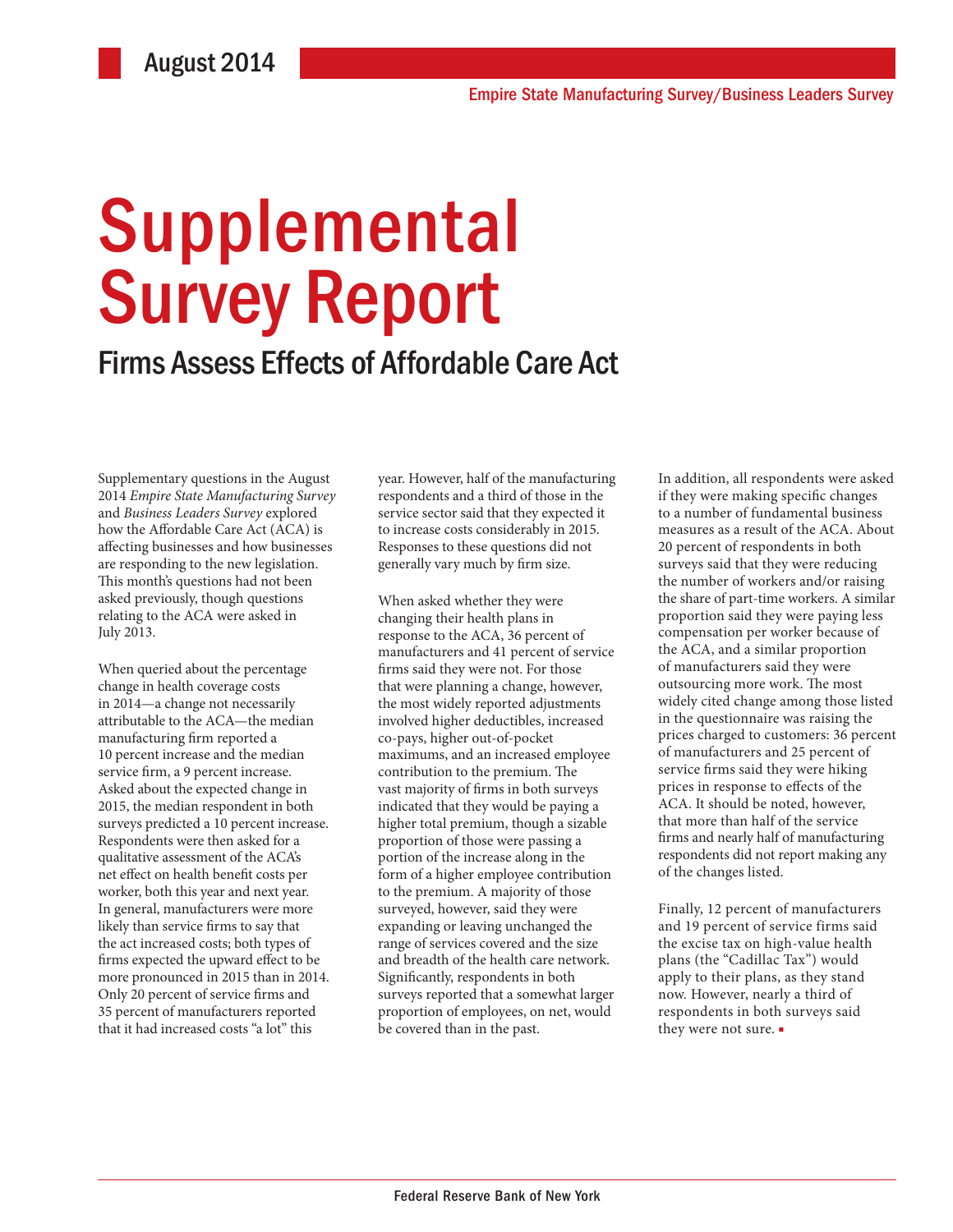# Supplemental Survey Report

### Firms Assess Effects of Affordable Care Act

Supplementary questions in the August 2014 *Empire State Manufacturing Survey* and *Business Leaders Survey* explored how the Affordable Care Act (ACA) is affecting businesses and how businesses are responding to the new legislation. This month's questions had not been asked previously, though questions relating to the ACA were asked in July 2013.

When queried about the percentage change in health coverage costs in 2014—a change not necessarily attributable to the ACA—the median manufacturing firm reported a 10 percent increase and the median service firm, a 9 percent increase. Asked about the expected change in 2015, the median respondent in both surveys predicted a 10 percent increase. Respondents were then asked for a qualitative assessment of the ACA's net effect on health benefit costs per worker, both this year and next year. In general, manufacturers were more likely than service firms to say that the act increased costs; both types of firms expected the upward effect to be more pronounced in 2015 than in 2014. Only 20 percent of service firms and 35 percent of manufacturers reported that it had increased costs "a lot" this

year. However, half of the manufacturing respondents and a third of those in the service sector said that they expected it to increase costs considerably in 2015. Responses to these questions did not generally vary much by firm size.

When asked whether they were changing their health plans in response to the ACA, 36 percent of manufacturers and 41 percent of service firms said they were not. For those that were planning a change, however, the most widely reported adjustments involved higher deductibles, increased co-pays, higher out-of-pocket maximums, and an increased employee contribution to the premium. The vast majority of firms in both surveys indicated that they would be paying a higher total premium, though a sizable proportion of those were passing a portion of the increase along in the form of a higher employee contribution to the premium. A majority of those surveyed, however, said they were expanding or leaving unchanged the range of services covered and the size and breadth of the health care network. Significantly, respondents in both surveys reported that a somewhat larger proportion of employees, on net, would be covered than in the past.

In addition, all respondents were asked if they were making specific changes to a number of fundamental business measures as a result of the ACA. About 20 percent of respondents in both surveys said that they were reducing the number of workers and/or raising the share of part-time workers. A similar proportion said they were paying less compensation per worker because of the ACA, and a similar proportion of manufacturers said they were outsourcing more work. The most widely cited change among those listed in the questionnaire was raising the prices charged to customers: 36 percent of manufacturers and 25 percent of service firms said they were hiking prices in response to effects of the ACA. It should be noted, however, that more than half of the service firms and nearly half of manufacturing respondents did not report making any of the changes listed.

Finally, 12 percent of manufacturers and 19 percent of service firms said the excise tax on high-value health plans (the "Cadillac Tax") would apply to their plans, as they stand now. However, nearly a third of respondents in both surveys said they were not sure. ■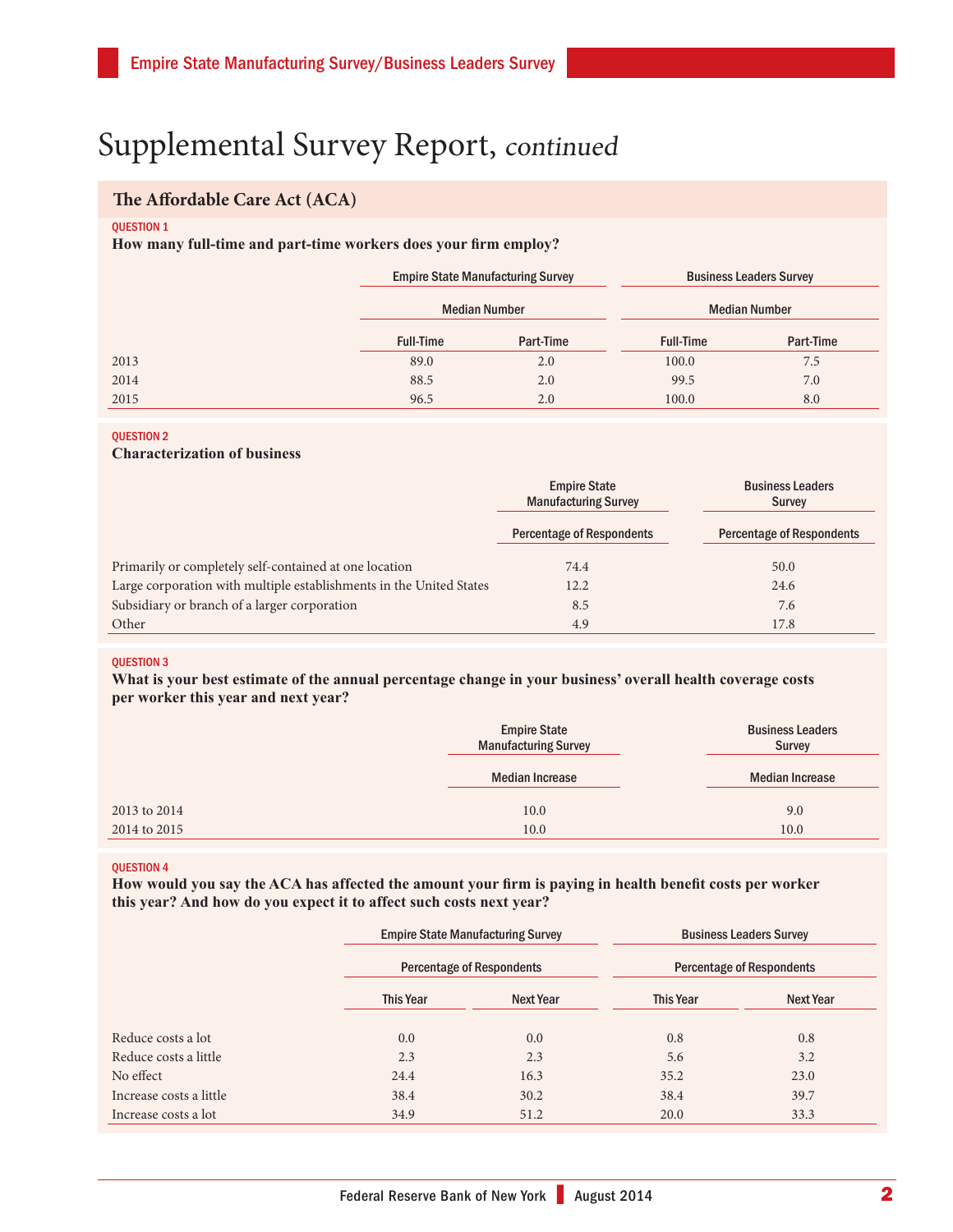## Supplemental Survey Report, continued

### **The Affordable Care Act (ACA)**

#### **OUESTION 1**

**How many full-time and part-time workers does your firm employ?**

|      | <b>Empire State Manufacturing Survey</b><br><b>Median Number</b> |           | <b>Business Leaders Survey</b><br><b>Median Number</b> |           |
|------|------------------------------------------------------------------|-----------|--------------------------------------------------------|-----------|
|      |                                                                  |           |                                                        |           |
|      | <b>Full-Time</b>                                                 | Part-Time | <b>Full-Time</b>                                       | Part-Time |
| 2013 | 89.0                                                             | 2.0       | 100.0                                                  | 7.5       |
| 2014 | 88.5                                                             | 2.0       | 99.5                                                   | 7.0       |
| 2015 | 96.5                                                             | 2.0       | 100.0                                                  | 8.0       |

### QUESTION 2

### **Characterization of business**

|                                                                     | <b>Empire State</b><br><b>Manufacturing Survey</b> | <b>Business Leaders</b><br><b>Survey</b> |  |
|---------------------------------------------------------------------|----------------------------------------------------|------------------------------------------|--|
|                                                                     | <b>Percentage of Respondents</b>                   | <b>Percentage of Respondents</b>         |  |
| Primarily or completely self-contained at one location              | 74.4                                               | 50.0                                     |  |
| Large corporation with multiple establishments in the United States | 12.2                                               | 24.6                                     |  |
| Subsidiary or branch of a larger corporation                        | 8.5                                                | 7.6                                      |  |
| Other                                                               | 4.9                                                | 17.8                                     |  |

### QUESTION 3

**What is your best estimate of the annual percentage change in your business' overall health coverage costs per worker this year and next year?**

|              | <b>Empire State</b><br><b>Manufacturing Survey</b> | <b>Business Leaders</b><br><b>Survey</b> |  |
|--------------|----------------------------------------------------|------------------------------------------|--|
|              | <b>Median Increase</b>                             | <b>Median Increase</b>                   |  |
| 2013 to 2014 | 10.0                                               | 9.0                                      |  |
| 2014 to 2015 | 10.0                                               | 10.0                                     |  |

#### QUESTION 4

**How would you say the ACA has affected the amount your firm is paying in health benefit costs per worker this year? And how do you expect it to affect such costs next year?**

|                         |                  | <b>Empire State Manufacturing Survey</b><br>Percentage of Respondents |                  | <b>Business Leaders Survey</b><br><b>Percentage of Respondents</b> |  |
|-------------------------|------------------|-----------------------------------------------------------------------|------------------|--------------------------------------------------------------------|--|
|                         |                  |                                                                       |                  |                                                                    |  |
|                         | <b>This Year</b> | <b>Next Year</b>                                                      | <b>This Year</b> | Next Year                                                          |  |
| Reduce costs a lot      | 0.0              | 0.0                                                                   | 0.8              | 0.8                                                                |  |
| Reduce costs a little   | 2.3              | 2.3                                                                   | 5.6              | 3.2                                                                |  |
| No effect               | 24.4             | 16.3                                                                  | 35.2             | 23.0                                                               |  |
| Increase costs a little | 38.4             | 30.2                                                                  | 38.4             | 39.7                                                               |  |
| Increase costs a lot    | 34.9             | 51.2                                                                  | 20.0             | 33.3                                                               |  |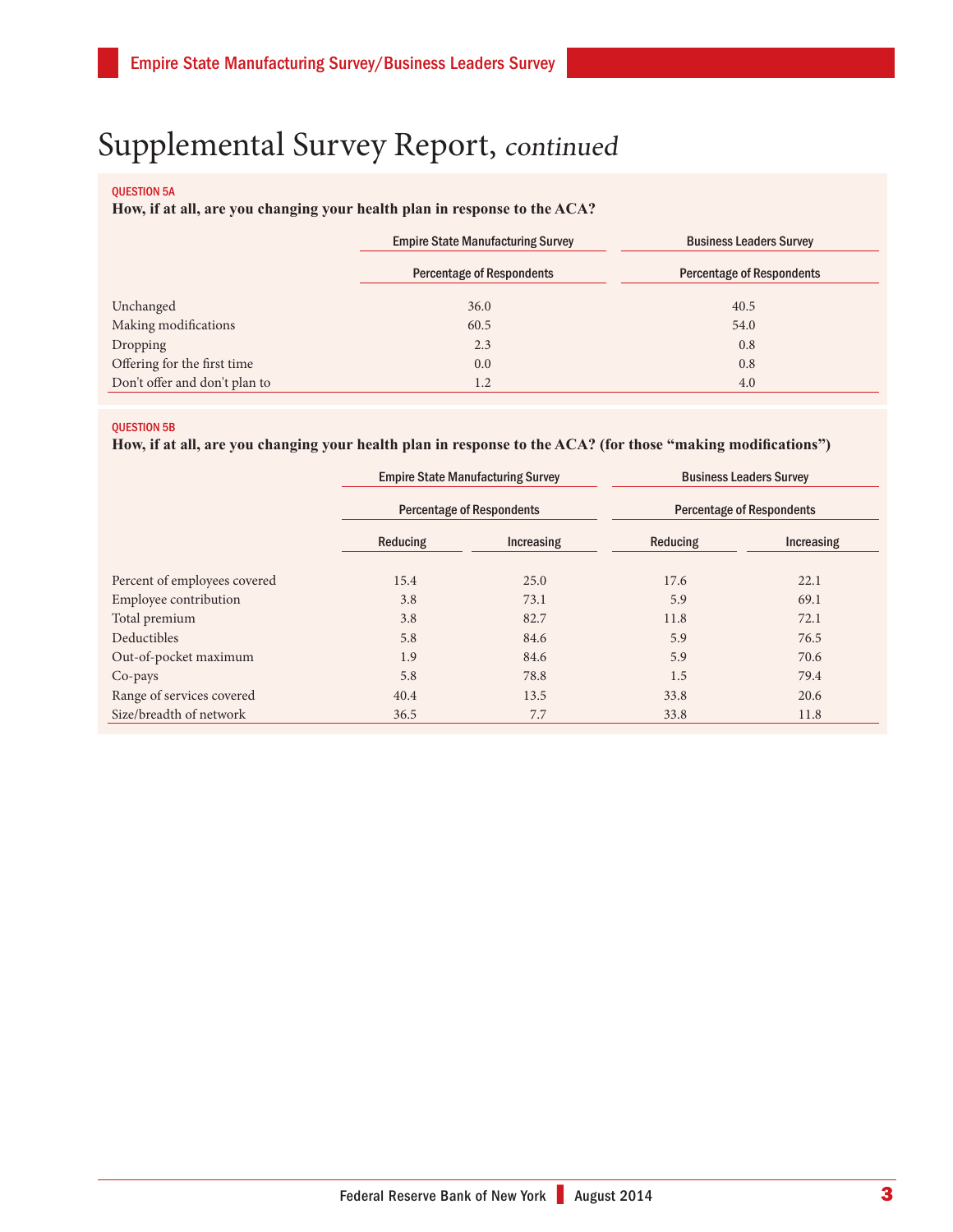# Supplemental Survey Report, continued

### QUESTION 5A

### **How, if at all, are you changing your health plan in response to the ACA?**

|                               | <b>Empire State Manufacturing Survey</b> | <b>Business Leaders Survey</b>   |  |
|-------------------------------|------------------------------------------|----------------------------------|--|
|                               | <b>Percentage of Respondents</b>         | <b>Percentage of Respondents</b> |  |
| Unchanged                     | 36.0                                     | 40.5                             |  |
| Making modifications          | 60.5                                     | 54.0                             |  |
| Dropping                      | 2.3                                      | 0.8                              |  |
| Offering for the first time   | 0.0                                      | 0.8                              |  |
| Don't offer and don't plan to | 1.2                                      | 4.0                              |  |

### QUESTION 5B

### **How, if at all, are you changing your health plan in response to the ACA? (for those "making modifications")**

|                              | <b>Empire State Manufacturing Survey</b><br><b>Percentage of Respondents</b> |            | <b>Business Leaders Survey</b><br><b>Percentage of Respondents</b> |                   |
|------------------------------|------------------------------------------------------------------------------|------------|--------------------------------------------------------------------|-------------------|
|                              |                                                                              |            |                                                                    |                   |
|                              | Reducing                                                                     | Increasing | Reducing                                                           | <b>Increasing</b> |
| Percent of employees covered | 15.4                                                                         | 25.0       | 17.6                                                               | 22.1              |
| Employee contribution        | 3.8                                                                          | 73.1       | 5.9                                                                | 69.1              |
| Total premium                | 3.8                                                                          | 82.7       | 11.8                                                               | 72.1              |
| Deductibles                  | 5.8                                                                          | 84.6       | 5.9                                                                | 76.5              |
| Out-of-pocket maximum        | 1.9                                                                          | 84.6       | 5.9                                                                | 70.6              |
| Co-pays                      | 5.8                                                                          | 78.8       | 1.5                                                                | 79.4              |
| Range of services covered    | 40.4                                                                         | 13.5       | 33.8                                                               | 20.6              |
| Size/breadth of network      | 36.5                                                                         | 7.7        | 33.8                                                               | 11.8              |